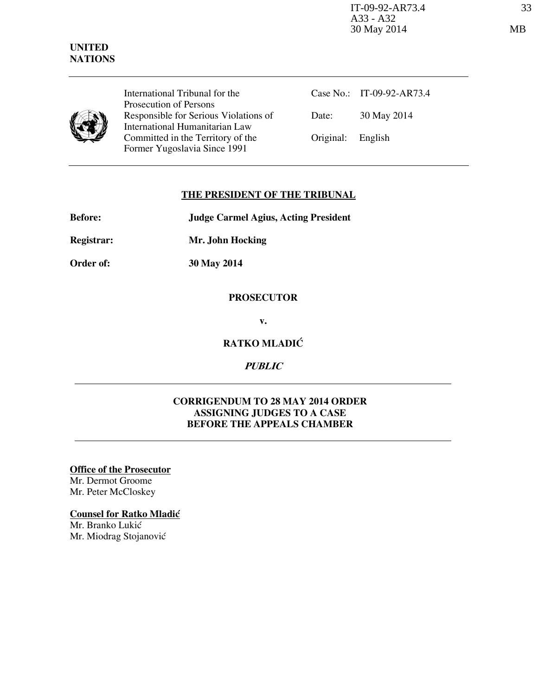IT-09-92-AR73.4 33 A33 - A32 30 May 2014 MB

### **UNITED NATIONS**

International Tribunal for the Prosecution of Persons Responsible for Serious Violations of International Humanitarian Law Committed in the Territory of the Former Yugoslavia Since 1991

Case No.: IT-09-92-AR73.4 Date: 30 May 2014 Original: English

## **THE PRESIDENT OF THE TRIBUNAL**

| <b>Judge Carmel Agius, Acting President</b> |
|---------------------------------------------|
|                                             |

**Registrar: Mr. John Hocking** 

**Order of: 30 May 2014** 

## **PROSECUTOR**

**v.** 

## **RATKO MLADIĆ**

# **PUBLIC**

## **CORRIGENDUM TO 28 MAY 2014 ORDER ASSIGNING JUDGES TO A CASE BEFORE THE APPEALS CHAMBER**

**Office of the Prosecutor** Mr. Dermot Groome Mr. Peter McCloskey

#### **Counsel for Ratko Mladić**

Mr. Branko Lukić Mr. Miodrag Stojanović